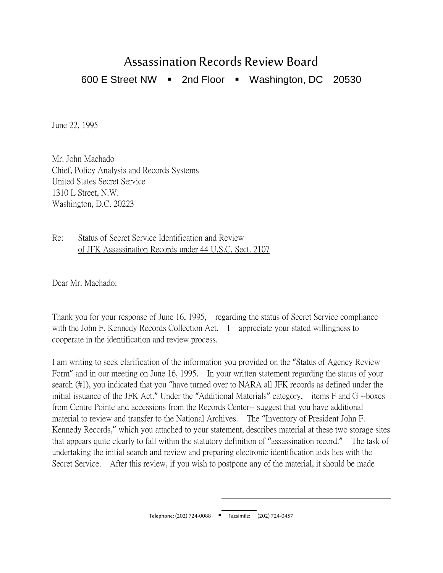## Assassination Records Review Board

600 E Street NW  $\blacksquare$  2nd Floor  $\blacksquare$  Washington, DC 20530

June 22, 1995

Mr. John Machado Chief, Policy Analysis and Records Systems United States Secret Service 1310 L Street, N.W. Washington, D.C. 20223

Re: Status of Secret Service Identification and Review of JFK Assassination Records under 44 U.S.C. Sect. 2107

Dear Mr. Machado:

Thank you for your response of June 16, 1995, regarding the status of Secret Service compliance with the John F. Kennedy Records Collection Act. I appreciate your stated willingness to cooperate in the identification and review process.

I am writing to seek clarification of the information you provided on the "Status of Agency Review Form" and in our meeting on June 16, 1995. In your written statement regarding the status of your search (#1), you indicated that you "have turned over to NARA all JFK records as defined under the initial issuance of the JFK Act." Under the "Additional Materials" category, items F and G --boxes from Centre Pointe and accessions from the Records Center-- suggest that you have additional material to review and transfer to the National Archives. The "Inventory of President John F. Kennedy Records," which you attached to your statement, describes material at these two storage sites that appears quite clearly to fall within the statutory definition of "assassination record." The task of undertaking the initial search and review and preparing electronic identification aids lies with the Secret Service. After this review, if you wish to postpone any of the material, it should be made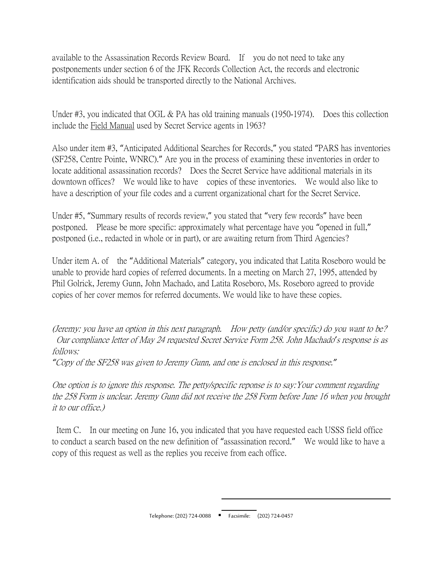available to the Assassination Records Review Board. If you do not need to take any postponements under section 6 of the JFK Records Collection Act, the records and electronic identification aids should be transported directly to the National Archives.

Under #3, you indicated that OGL & PA has old training manuals (1950-1974). Does this collection include the Field Manual used by Secret Service agents in 1963?

Also under item #3, "Anticipated Additional Searches for Records," you stated "PARS has inventories (SF258, Centre Pointe, WNRC)." Are you in the process of examining these inventories in order to locate additional assassination records? Does the Secret Service have additional materials in its downtown offices? We would like to have copies of these inventories. We would also like to have a description of your file codes and a current organizational chart for the Secret Service.

Under #5, "Summary results of records review," you stated that "very few records" have been postponed. Please be more specific: approximately what percentage have you "opened in full," postponed (i.e., redacted in whole or in part), or are awaiting return from Third Agencies?

Under item A. of the "Additional Materials" category, you indicated that Latita Roseboro would be unable to provide hard copies of referred documents. In a meeting on March 27, 1995, attended by Phil Golrick, Jeremy Gunn, John Machado, and Latita Roseboro, Ms. Roseboro agreed to provide copies of her cover memos for referred documents. We would like to have these copies.

(Jeremy: you have an option in this next paragraph. How petty (and/or specific) do you want to be? Our compliance letter of May 24 requested Secret Service Form 258. John Machado*'*s response is as follows:

*"*Copy of the SF258 was given to Jeremy Gunn, and one is enclosed in this response.*"*

One option is to ignore this response. The petty/specific reponse is to say:Your comment regarding the 258 Form is unclear. Jeremy Gunn did not receive the 258 Form before June 16 when you brought it to our office.)

Item C. In our meeting on June 16, you indicated that you have requested each USSS field office to conduct a search based on the new definition of "assassination record." We would like to have a copy of this request as well as the replies you receive from each office.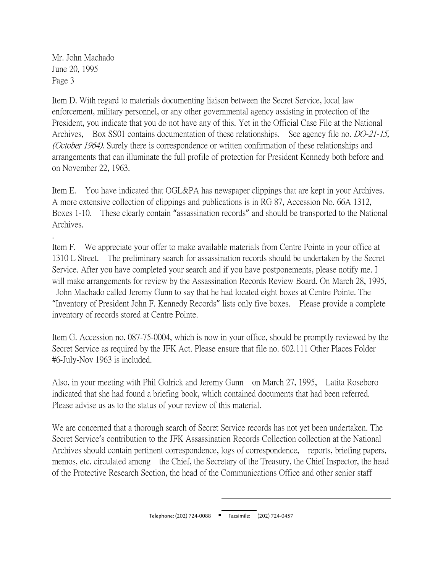Mr. John Machado June 20, 1995 Page 3

.

Item D. With regard to materials documenting liaison between the Secret Service, local law enforcement, military personnel, or any other governmental agency assisting in protection of the President, you indicate that you do not have any of this. Yet in the Official Case File at the National Archives, Box SS01 contains documentation of these relationships. See agency file no. *DO-21-15*, (*October 1964*). Surely there is correspondence or written confirmation of these relationships and arrangements that can illuminate the full profile of protection for President Kennedy both before and on November 22, 1963.

Item E. You have indicated that OGL&PA has newspaper clippings that are kept in your Archives. A more extensive collection of clippings and publications is in RG 87, Accession No. 66A 1312, Boxes 1-10. These clearly contain "assassination records" and should be transported to the National Archives.

Item F. We appreciate your offer to make available materials from Centre Pointe in your office at 1310 L Street. The preliminary search for assassination records should be undertaken by the Secret Service. After you have completed your search and if you have postponements, please notify me. I will make arrangements for review by the Assassination Records Review Board. On March 28, 1995,

John Machado called Jeremy Gunn to say that he had located eight boxes at Centre Pointe. The "Inventory of President John F. Kennedy Records" lists only five boxes. Please provide a complete inventory of records stored at Centre Pointe.

Item G. Accession no. 087-75-0004, which is now in your office, should be promptly reviewed by the Secret Service as required by the JFK Act. Please ensure that file no. 602.111 Other Places Folder #6-July-Nov 1963 is included.

Also, in your meeting with Phil Golrick and Jeremy Gunn on March 27, 1995, Latita Roseboro indicated that she had found a briefing book, which contained documents that had been referred. Please advise us as to the status of your review of this material.

We are concerned that a thorough search of Secret Service records has not yet been undertaken. The Secret Service's contribution to the JFK Assassination Records Collection collection at the National Archives should contain pertinent correspondence, logs of correspondence, reports, briefing papers, memos, etc. circulated among the Chief, the Secretary of the Treasury, the Chief Inspector, the head of the Protective Research Section, the head of the Communications Office and other senior staff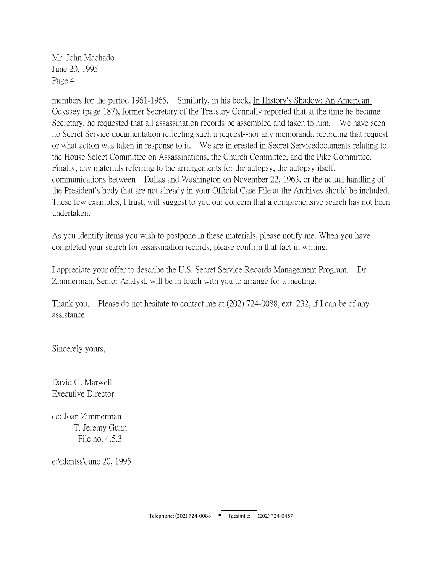Mr. John Machado June 20, 1995 Page 4

members for the period 1961-1965. Similarly, in his book, In History's Shadow: An American Odyssey (page 187), former Secretary of the Treasury Connally reported that at the time he became Secretary, he requested that all assassination records be assembled and taken to him. We have seen no Secret Service documentation reflecting such a request--nor any memoranda recording that request or what action was taken in response to it. We are interested in Secret Servicedocuments relating to the House Select Committee on Assassinations, the Church Committee, and the Pike Committee. Finally, any materials referring to the arrangements for the autopsy, the autopsy itself, communications between Dallas and Washington on November 22, 1963, or the actual handling of the President's body that are not already in your Official Case File at the Archives should be included. These few examples, I trust, will suggest to you our concern that a comprehensive search has not been undertaken.

As you identify items you wish to postpone in these materials, please notify me. When you have completed your search for assassination records, please confirm that fact in writing.

I appreciate your offer to describe the U.S. Secret Service Records Management Program. Dr. Zimmerman, Senior Analyst, will be in touch with you to arrange for a meeting.

Thank you. Please do not hesitate to contact me at (202) 724-0088, ext. 232, if I can be of any assistance.

Sincerely yours,

David G. Marwell Executive Director

cc: Joan Zimmerman T. Jeremy Gunn File no. 4.5.3

e:\identss\June 20, 1995